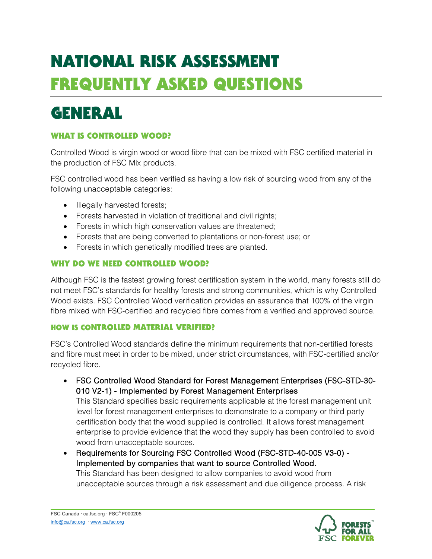# NATIONAL RISK ASSESSMENT FREQUENTLY ASKED QUESTIONS

## GENERAL

### WHAT IS CONTROLLED WOOD?

Controlled Wood is virgin wood or wood fibre that can be mixed with FSC certified material in the production of FSC Mix products.

FSC controlled wood has been verified as having a low risk of sourcing wood from any of the following unacceptable categories:

- Illegally harvested forests;
- Forests harvested in violation of traditional and civil rights;
- Forests in which high conservation values are threatened;
- Forests that are being converted to plantations or non-forest use; or
- Forests in which genetically modified trees are planted.

#### WHY DO WE NEED CONTROLLED WOOD?

Although FSC is the fastest growing forest certification system in the world, many forests still do not meet FSC's standards for healthy forests and strong communities, which is why Controlled Wood exists. FSC Controlled Wood verification provides an assurance that 100% of the virgin fibre mixed with FSC-certified and recycled fibre comes from a verified and approved source.

#### HOW IS CONTROLLED MATERIAL VERIFIED?

FSC's Controlled Wood standards define the minimum requirements that non-certified forests and fibre must meet in order to be mixed, under strict circumstances, with FSC-certified and/or recycled fibre.

• FSC Controlled Wood Standard for Forest Management Enterprises (FSC-STD-30- 010 V2-1) - Implemented by Forest Management Enterprises

This Standard specifies basic requirements applicable at the forest management unit level for forest management enterprises to demonstrate to a company or third party certification body that the wood supplied is controlled. It allows forest management enterprise to provide evidence that the wood they supply has been controlled to avoid wood from unacceptable sources.

• Requirements for Sourcing FSC Controlled Wood (FSC-STD-40-005 V3-0) - Implemented by companies that want to source Controlled Wood. This Standard has been designed to allow companies to avoid wood from unacceptable sources through a risk assessment and due diligence process. A risk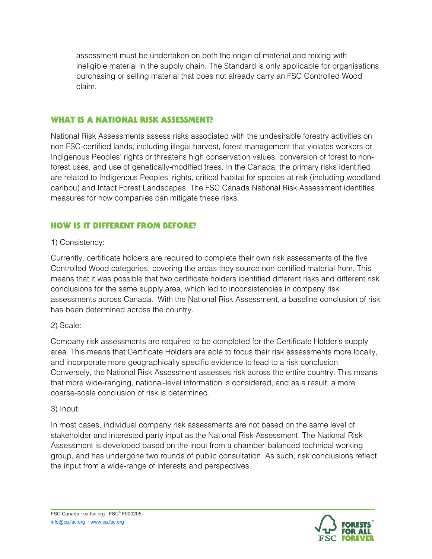assessment must be undertaken on both the origin of material and mixing with ineligible material in the supply chain. The Standard is only applicable for organisations purchasing or selling material that does not already carry an FSC Controlled Wood claim.

#### WHAT IS A NATIONAL RISK ASSESSMENT?

National Risk Assessments assess risks associated with the undesirable forestry activities on non FSC-certified lands, including illegal harvest, forest management that violates workers or Indigenous Peoples' rights or threatens high conservation values, conversion of forest to nonforest uses, and use of genetically-modified trees. In the Canada, the primary risks identified are related to Indigenous Peoples' rights, critical habitat for species at risk (including woodland caribou) and Intact Forest Landscapes. The FSC Canada National Risk Assessment identifies measures for how companies can mitigate these risks.

#### HOW IS IT DIFFERENT FROM BEFORE?

#### 1) Consistency:

Currently, certificate holders are required to complete their own risk assessments of the five Controlled Wood categories; covering the areas they source non-certified material from. This means that it was possible that two certificate holders identified different risks and different risk conclusions for the same supply area, which led to inconsistencies in company risk assessments across Canada. With the National Risk Assessment, a baseline conclusion of risk has been determined across the country.

#### 2) Scale:

Company risk assessments are required to be completed for the Certificate Holder's supply area. This means that Certificate Holders are able to focus their risk assessments more locally, and incorporate more geographically specific evidence to lead to a risk conclusion. Conversely, the National Risk Assessment assesses risk across the entire country. This means that more wide-ranging, national-level information is considered, and as a result, a more coarse-scale conclusion of risk is determined.

#### 3) Input:

In most cases, individual company risk assessments are not based on the same level of stakeholder and interested party input as the National Risk Assessment. The National Risk Assessment is developed based on the input from a chamber-balanced technical working group, and has undergone two rounds of public consultation. As such, risk conclusions reflect the input from a wide-range of interests and perspectives.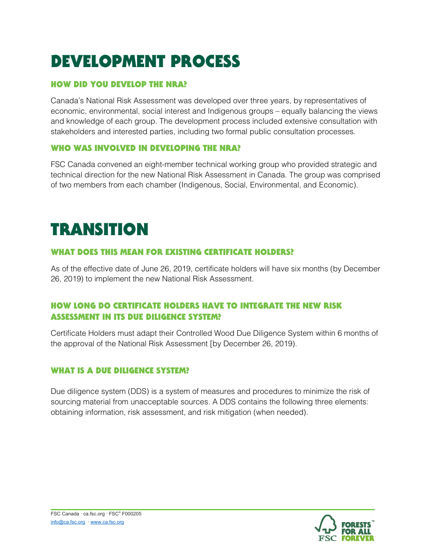## DEVELOPMENT PROCESS

### HOW DID YOU DEVELOP THE NRA?

Canada's National Risk Assessment was developed over three years, by representatives of economic, environmental, social interest and Indigenous groups – equally balancing the views and knowledge of each group. The development process included extensive consultation with stakeholders and interested parties, including two formal public consultation processes.

#### WHO WAS INVOLVED IN DEVELOPING THE NRA?

FSC Canada convened an eight-member technical working group who provided strategic and technical direction for the new National Risk Assessment in Canada. The group was comprised of two members from each chamber (Indigenous, Social, Environmental, and Economic).

## **TRANSITION**

#### WHAT DOES THIS MEAN FOR EXISTING CERTIFICATE HOLDERS?

As of the effective date of June 26, 2019, certificate holders will have six months (by December 26, 2019) to implement the new National Risk Assessment.

### HOW LONG DO CERTIFICATE HOLDERS HAVE TO INTEGRATE THE NEW RISK ASSESSMENT IN ITS DUE DILIGENCE SYSTEM?

Certificate Holders must adapt their Controlled Wood Due Diligence System within 6 months of the approval of the National Risk Assessment [by December 26, 2019).

### WHAT IS A DUE DILIGENCE SYSTEM?

Due diligence system (DDS) is a system of measures and procedures to minimize the risk of sourcing material from unacceptable sources. A DDS contains the following three elements: obtaining information, risk assessment, and risk mitigation (when needed).

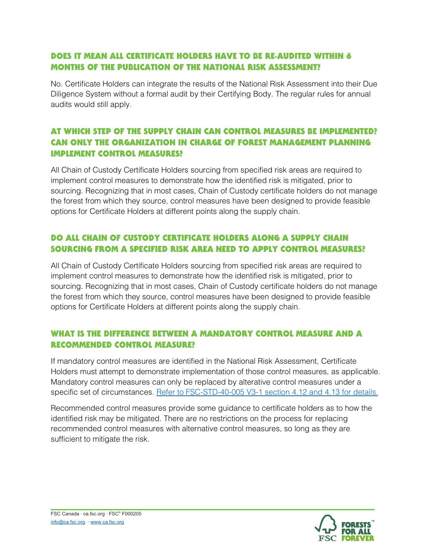#### DOES IT MEAN ALL CERTIFICATE HOLDERS HAVE TO BE RE-AUDITED WITHIN 6 MONTHS OF THE PUBLICATION OF THE NATIONAL RISK ASSESSMENT?

No. Certificate Holders can integrate the results of the National Risk Assessment into their Due Diligence System without a formal audit by their Certifying Body. The regular rules for annual audits would still apply.

### AT WHICH STEP OF THE SUPPLY CHAIN CAN CONTROL MEASURES BE IMPLEMENTED? CAN ONLY THE ORGANIZATION IN CHARGE OF FOREST MANAGEMENT PLANNING IMPLEMENT CONTROL MEASURES?

All Chain of Custody Certificate Holders sourcing from specified risk areas are required to implement control measures to demonstrate how the identified risk is mitigated, prior to sourcing. Recognizing that in most cases, Chain of Custody certificate holders do not manage the forest from which they source, control measures have been designed to provide feasible options for Certificate Holders at different points along the supply chain.

#### DO ALL CHAIN OF CUSTODY CERTIFICATE HOLDERS ALONG A SUPPLY CHAIN SOURCING FROM A SPECIFIED RISK AREA NEED TO APPLY CONTROL MEASURES?

All Chain of Custody Certificate Holders sourcing from specified risk areas are required to implement control measures to demonstrate how the identified risk is mitigated, prior to sourcing. Recognizing that in most cases, Chain of Custody certificate holders do not manage the forest from which they source, control measures have been designed to provide feasible options for Certificate Holders at different points along the supply chain.

#### WHAT IS THE DIFFERENCE BETWEEN A MANDATORY CONTROL MEASURE AND A RECOMMENDED CONTROL MEASURE?

If mandatory control measures are identified in the National Risk Assessment, Certificate Holders must attempt to demonstrate implementation of those control measures, as applicable. Mandatory control measures can only be replaced by alterative control measures under a specific set of circumstances. Refer to FSC-STD-40-005 V3-1 section 4.12 and 4.13 for details.

Recommended control measures provide some guidance to certificate holders as to how the identified risk may be mitigated. There are no restrictions on the process for replacing recommended control measures with alternative control measures, so long as they are sufficient to mitigate the risk.